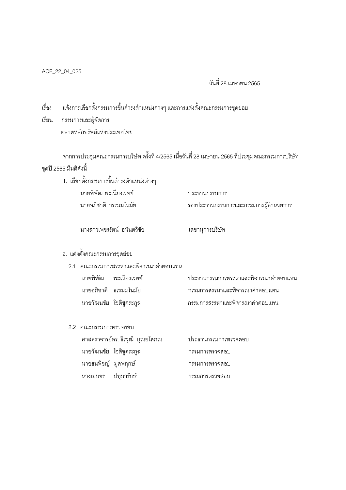## วันที่ 28 เมษายน 2565

์<br>เรื่อง แจ้งการเลือกตั้งกรรมการขึ้นดำรงตำแหน่งต่างๆ และการแต่งตั้งคณะกรรมการชุดย่อย

เรียน กรรมการและผู้จัดการ ตลาดหลักทรัพย์แห่งประเทศไทย

จากการประชุมคณะกรรมการบริษัท ครั้งที่ 4/2565 เมื่อวันที่ 28 เมษายน 2565 ที่ประชุมคณะกรรมการบริษัท ชุดปี 2565 มีมติดังนี้

1. เลือกตั้งกรรมการขึ้นดำรงตำแหน่งต่างๆ นายพิพัฒ พะเนียงเวทย์ ประธานกรรมการ นายอภิชาติ ธรรมมโนมัย รองประธานกรรมการและกรรมการผู้อำนวยการ

นางสาวเพชรรัตน์ อนันตวิชัย

## 2. แต่งตั้งคณะกรรมการชุดย่อย

- 2.1 คณะกรรมการสรรหาและพิจารณาค่าตอบแทน
	- นายพิพัฒ พะเนียงเวทย์ าไระธานกรรมการสรรหาและพิจารณาค่าตุคาแทน นายอภิชาติ ธรรมมโนมัย กรรมการสรรหาและพิจารณาค่าตอบแทน นายวัฒนชัย โชติชูตระกูล กรรมการสรรหาและพิจารณาค่าตอบแทน

เลขานุการบริษัท

2.2 คณะกรรมการตรวจสุดบ

| ศาสตราจารย์ดร. ธีรวุฒิ บุณยโสภณ | ประธานกรรมการตรวจสอบ |
|---------------------------------|----------------------|
| นายวัฒนชัย โชติชูตระกูล         | กรรมการตรวจสอบ       |
| นายธนพิชญ์ มูลพฤกษ์             | กรรมการตรวจสอบ       |
| ินางเคมคร ปทมารักษ์             | กรรมการตรวจสุดาเ     |